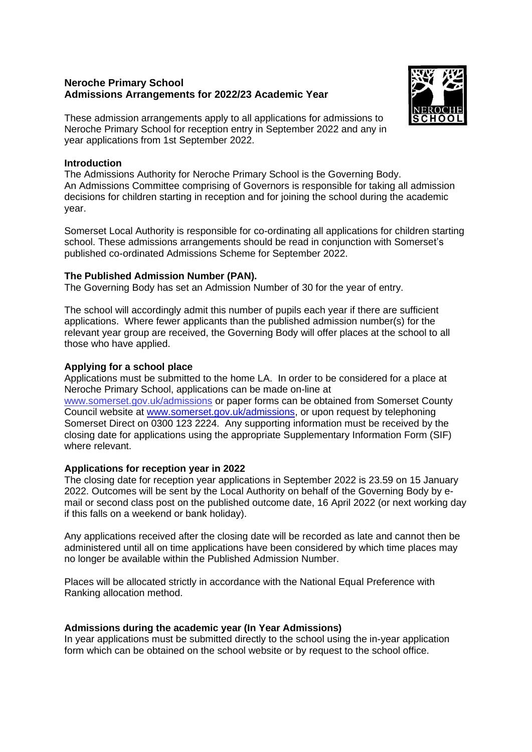# **Neroche Primary School Admissions Arrangements for 2022/23 Academic Year**



These admission arrangements apply to all applications for admissions to Neroche Primary School for reception entry in September 2022 and any in year applications from 1st September 2022.

### **Introduction**

The Admissions Authority for Neroche Primary School is the Governing Body. An Admissions Committee comprising of Governors is responsible for taking all admission decisions for children starting in reception and for joining the school during the academic year.

Somerset Local Authority is responsible for co-ordinating all applications for children starting school. These admissions arrangements should be read in conjunction with Somerset's published co-ordinated Admissions Scheme for September 2022.

## **The Published Admission Number (PAN).**

The Governing Body has set an Admission Number of 30 for the year of entry.

The school will accordingly admit this number of pupils each year if there are sufficient applications. Where fewer applicants than the published admission number(s) for the relevant year group are received, the Governing Body will offer places at the school to all those who have applied.

# **Applying for a school place**

Applications must be submitted to the home LA. In order to be considered for a place at Neroche Primary School, applications can be made on-line at www.somerset.gov.uk/admissions or paper forms can be obtained from Somerset County Council website at [www.somerset.gov.uk/admissions,](http://www.somerset.gov.uk/admissions) or upon request by telephoning Somerset Direct on 0300 123 2224. Any supporting information must be received by the closing date for applications using the appropriate Supplementary Information Form (SIF) where relevant.

# **Applications for reception year in 2022**

The closing date for reception year applications in September 2022 is 23.59 on 15 January 2022. Outcomes will be sent by the Local Authority on behalf of the Governing Body by email or second class post on the published outcome date, 16 April 2022 (or next working day if this falls on a weekend or bank holiday).

Any applications received after the closing date will be recorded as late and cannot then be administered until all on time applications have been considered by which time places may no longer be available within the Published Admission Number.

Places will be allocated strictly in accordance with the National Equal Preference with Ranking allocation method.

# **Admissions during the academic year (In Year Admissions)**

In year applications must be submitted directly to the school using the in-year application form which can be obtained on the school website or by request to the school office.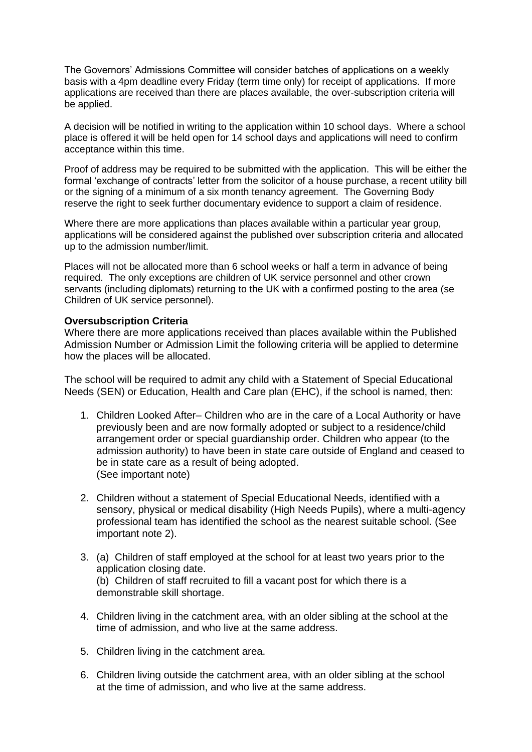The Governors' Admissions Committee will consider batches of applications on a weekly basis with a 4pm deadline every Friday (term time only) for receipt of applications. If more applications are received than there are places available, the over-subscription criteria will be applied.

A decision will be notified in writing to the application within 10 school days. Where a school place is offered it will be held open for 14 school days and applications will need to confirm acceptance within this time.

Proof of address may be required to be submitted with the application. This will be either the formal 'exchange of contracts' letter from the solicitor of a house purchase, a recent utility bill or the signing of a minimum of a six month tenancy agreement. The Governing Body reserve the right to seek further documentary evidence to support a claim of residence.

Where there are more applications than places available within a particular year group, applications will be considered against the published over subscription criteria and allocated up to the admission number/limit.

Places will not be allocated more than 6 school weeks or half a term in advance of being required. The only exceptions are children of UK service personnel and other crown servants (including diplomats) returning to the UK with a confirmed posting to the area (se Children of UK service personnel).

# **Oversubscription Criteria**

Where there are more applications received than places available within the Published Admission Number or Admission Limit the following criteria will be applied to determine how the places will be allocated.

The school will be required to admit any child with a Statement of Special Educational Needs (SEN) or Education, Health and Care plan (EHC), if the school is named, then:

- 1. Children Looked After– Children who are in the care of a Local Authority or have previously been and are now formally adopted or subject to a residence/child arrangement order or special guardianship order. Children who appear (to the admission authority) to have been in state care outside of England and ceased to be in state care as a result of being adopted. (See important note)
- 2. Children without a statement of Special Educational Needs, identified with a sensory, physical or medical disability (High Needs Pupils), where a multi-agency professional team has identified the school as the nearest suitable school. (See important note 2).
- 3. (a) Children of staff employed at the school for at least two years prior to the application closing date. (b) Children of staff recruited to fill a vacant post for which there is a demonstrable skill shortage.
- 4. Children living in the catchment area, with an older sibling at the school at the time of admission, and who live at the same address.
- 5. Children living in the catchment area.
- 6. Children living outside the catchment area, with an older sibling at the school at the time of admission, and who live at the same address.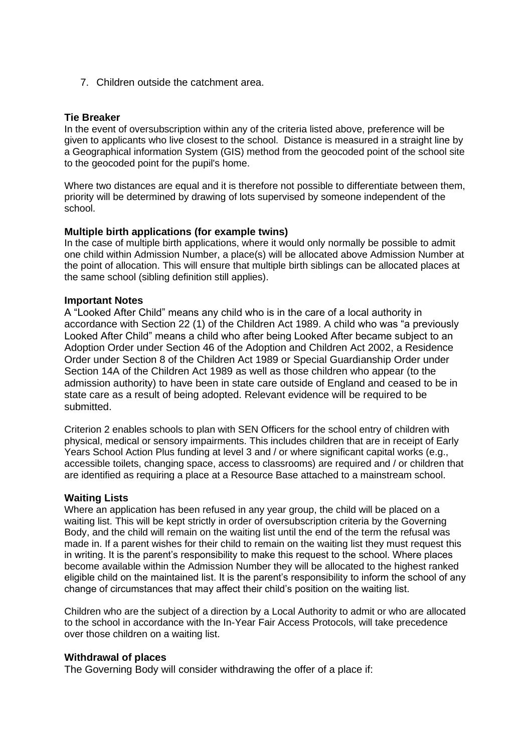7. Children outside the catchment area.

### **Tie Breaker**

In the event of oversubscription within any of the criteria listed above, preference will be given to applicants who live closest to the school. Distance is measured in a straight line by a Geographical information System (GIS) method from the geocoded point of the school site to the geocoded point for the pupil's home.

Where two distances are equal and it is therefore not possible to differentiate between them, priority will be determined by drawing of lots supervised by someone independent of the school.

#### **Multiple birth applications (for example twins)**

In the case of multiple birth applications, where it would only normally be possible to admit one child within Admission Number, a place(s) will be allocated above Admission Number at the point of allocation. This will ensure that multiple birth siblings can be allocated places at the same school (sibling definition still applies).

#### **Important Notes**

A "Looked After Child" means any child who is in the care of a local authority in accordance with Section 22 (1) of the Children Act 1989. A child who was "a previously Looked After Child" means a child who after being Looked After became subject to an Adoption Order under Section 46 of the Adoption and Children Act 2002, a Residence Order under Section 8 of the Children Act 1989 or Special Guardianship Order under Section 14A of the Children Act 1989 as well as those children who appear (to the admission authority) to have been in state care outside of England and ceased to be in state care as a result of being adopted. Relevant evidence will be required to be submitted.

Criterion 2 enables schools to plan with SEN Officers for the school entry of children with physical, medical or sensory impairments. This includes children that are in receipt of Early Years School Action Plus funding at level 3 and / or where significant capital works (e.g., accessible toilets, changing space, access to classrooms) are required and / or children that are identified as requiring a place at a Resource Base attached to a mainstream school.

#### **Waiting Lists**

Where an application has been refused in any year group, the child will be placed on a waiting list. This will be kept strictly in order of oversubscription criteria by the Governing Body, and the child will remain on the waiting list until the end of the term the refusal was made in. If a parent wishes for their child to remain on the waiting list they must request this in writing. It is the parent's responsibility to make this request to the school. Where places become available within the Admission Number they will be allocated to the highest ranked eligible child on the maintained list. It is the parent's responsibility to inform the school of any change of circumstances that may affect their child's position on the waiting list.

Children who are the subject of a direction by a Local Authority to admit or who are allocated to the school in accordance with the In-Year Fair Access Protocols, will take precedence over those children on a waiting list.

#### **Withdrawal of places**

The Governing Body will consider withdrawing the offer of a place if: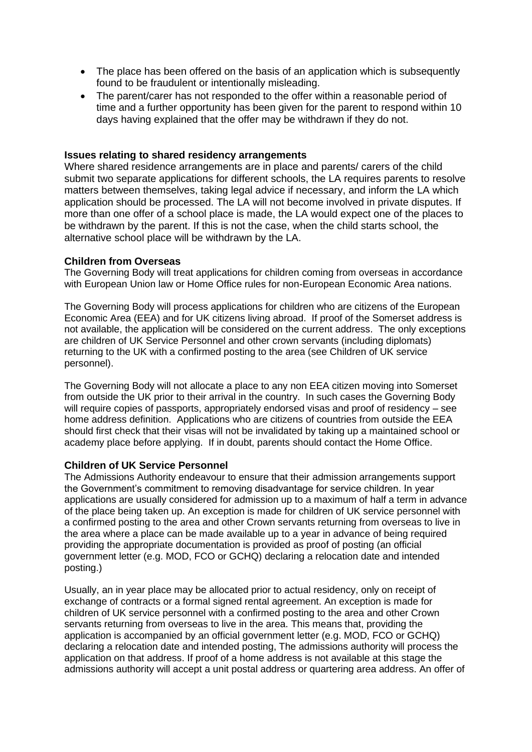- The place has been offered on the basis of an application which is subsequently found to be fraudulent or intentionally misleading.
- The parent/carer has not responded to the offer within a reasonable period of time and a further opportunity has been given for the parent to respond within 10 days having explained that the offer may be withdrawn if they do not.

### **Issues relating to shared residency arrangements**

Where shared residence arrangements are in place and parents/ carers of the child submit two separate applications for different schools, the LA requires parents to resolve matters between themselves, taking legal advice if necessary, and inform the LA which application should be processed. The LA will not become involved in private disputes. If more than one offer of a school place is made, the LA would expect one of the places to be withdrawn by the parent. If this is not the case, when the child starts school, the alternative school place will be withdrawn by the LA.

## **Children from Overseas**

The Governing Body will treat applications for children coming from overseas in accordance with European Union law or Home Office rules for non-European Economic Area nations.

The Governing Body will process applications for children who are citizens of the European Economic Area (EEA) and for UK citizens living abroad. If proof of the Somerset address is not available, the application will be considered on the current address. The only exceptions are children of UK Service Personnel and other crown servants (including diplomats) returning to the UK with a confirmed posting to the area (see Children of UK service personnel).

The Governing Body will not allocate a place to any non EEA citizen moving into Somerset from outside the UK prior to their arrival in the country. In such cases the Governing Body will require copies of passports, appropriately endorsed visas and proof of residency – see home address definition. Applications who are citizens of countries from outside the EEA should first check that their visas will not be invalidated by taking up a maintained school or academy place before applying. If in doubt, parents should contact the Home Office.

#### **Children of UK Service Personnel**

The Admissions Authority endeavour to ensure that their admission arrangements support the Government's commitment to removing disadvantage for service children. In year applications are usually considered for admission up to a maximum of half a term in advance of the place being taken up. An exception is made for children of UK service personnel with a confirmed posting to the area and other Crown servants returning from overseas to live in the area where a place can be made available up to a year in advance of being required providing the appropriate documentation is provided as proof of posting (an official government letter (e.g. MOD, FCO or GCHQ) declaring a relocation date and intended posting.)

Usually, an in year place may be allocated prior to actual residency, only on receipt of exchange of contracts or a formal signed rental agreement. An exception is made for children of UK service personnel with a confirmed posting to the area and other Crown servants returning from overseas to live in the area. This means that, providing the application is accompanied by an official government letter (e.g. MOD, FCO or GCHQ) declaring a relocation date and intended posting, The admissions authority will process the application on that address. If proof of a home address is not available at this stage the admissions authority will accept a unit postal address or quartering area address. An offer of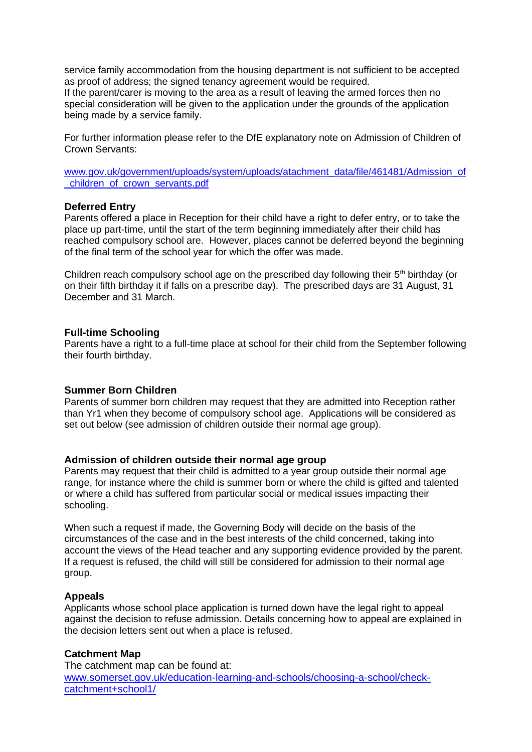service family accommodation from the housing department is not sufficient to be accepted as proof of address; the signed tenancy agreement would be required.

If the parent/carer is moving to the area as a result of leaving the armed forces then no special consideration will be given to the application under the grounds of the application being made by a service family.

For further information please refer to the DfE explanatory note on Admission of Children of Crown Servants:

[www.gov.uk/government/uploads/system/uploads/atachment\\_data/file/461481/Admission\\_of](http://www.gov.uk/government/uploads/system/uploads/atachment_data/file/461481/Admission_of_children_of_crown_servants.pdf) [\\_children\\_of\\_crown\\_servants.pdf](http://www.gov.uk/government/uploads/system/uploads/atachment_data/file/461481/Admission_of_children_of_crown_servants.pdf)

#### **Deferred Entry**

Parents offered a place in Reception for their child have a right to defer entry, or to take the place up part-time, until the start of the term beginning immediately after their child has reached compulsory school are. However, places cannot be deferred beyond the beginning of the final term of the school year for which the offer was made.

Children reach compulsory school age on the prescribed day following their  $5<sup>th</sup>$  birthday (or on their fifth birthday it if falls on a prescribe day). The prescribed days are 31 August, 31 December and 31 March.

#### **Full-time Schooling**

Parents have a right to a full-time place at school for their child from the September following their fourth birthday.

#### **Summer Born Children**

Parents of summer born children may request that they are admitted into Reception rather than Yr1 when they become of compulsory school age. Applications will be considered as set out below (see admission of children outside their normal age group).

#### **Admission of children outside their normal age group**

Parents may request that their child is admitted to a year group outside their normal age range, for instance where the child is summer born or where the child is gifted and talented or where a child has suffered from particular social or medical issues impacting their schooling.

When such a request if made, the Governing Body will decide on the basis of the circumstances of the case and in the best interests of the child concerned, taking into account the views of the Head teacher and any supporting evidence provided by the parent. If a request is refused, the child will still be considered for admission to their normal age group.

#### **Appeals**

Applicants whose school place application is turned down have the legal right to appeal against the decision to refuse admission. Details concerning how to appeal are explained in the decision letters sent out when a place is refused.

#### **Catchment Map**

The catchment map can be found at: [www.somerset.gov.uk/education-learning-and-schools/choosing-a-school/check](http://www.somerset.gov.uk/education-learning-and-schools/choosing-a-school/check-catchment+school1/)[catchment+school1/](http://www.somerset.gov.uk/education-learning-and-schools/choosing-a-school/check-catchment+school1/)